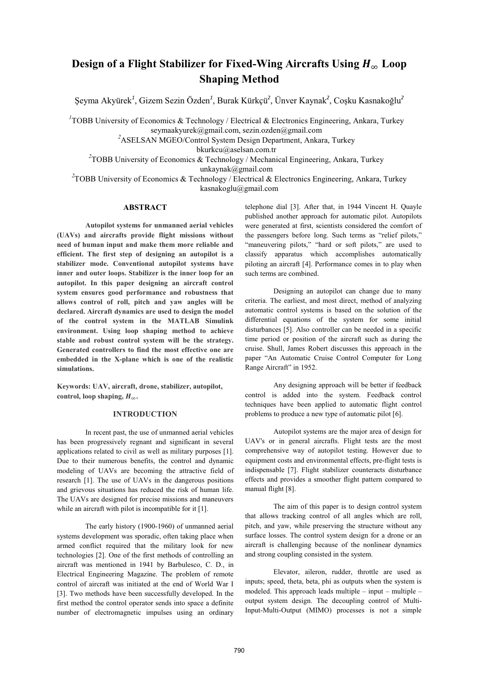# Design of a Flight Stabilizer for Fixed-Wing Aircrafts Using  $H_{\infty}$  Loop **Shaping Method**

Şeyma Akyürek<sup>1</sup>, Gizem Sezin Özden<sup>1</sup>, Burak Kürkçü<sup>2</sup>, Ünver Kaynak<sup>2</sup>, Coşku Kasnakoğlu<sup>2</sup>

<sup>1</sup> TOBB University of Economics & Technology / Electrical & Electronics Engineering, Ankara, Turkey seymaakyurek@gmail.com, sezin.ozden@gmail.com

*2* ASELSAN MGEO/Control System Design Department, Ankara, Turkey

bkurkcu@aselsan.com.tr

<sup>2</sup> TOBB University of Economics & Technology / Mechanical Engineering, Ankara, Turkey unkaynak@gmail.com

<sup>2</sup> TOBB University of Economics & Technology / Electrical & Electronics Engineering, Ankara, Turkey kasnakoglu@gmail.com

### **ABSTRACT**

**Autopilot systems for unmanned aerial vehicles (UAVs) and aircrafts provide flight missions without need of human input and make them more reliable and efficient. The first step of designing an autopilot is a stabilizer mode. Conventional autopilot systems have inner and outer loops. Stabilizer is the inner loop for an autopilot. In this paper designing an aircraft control system ensures good performance and robustness that allows control of roll, pitch and yaw angles will be declared. Aircraft dynamics are used to design the model of the control system in the MATLAB Simulink environment. Using loop shaping method to achieve stable and robust control system will be the strategy. Generated controllers to find the most effective one are embedded in the X-plane which is one of the realistic simulations.** 

**Keywords: UAV, aircraft, drone, stabilizer, autopilot,**  control, loop shaping,  $H_{\infty}$ .

#### **INTRODUCTION**

 In recent past, the use of unmanned aerial vehicles has been progressively regnant and significant in several applications related to civil as well as military purposes [1]. Due to their numerous benefits, the control and dynamic modeling of UAVs are becoming the attractive field of research [1]. The use of UAVs in the dangerous positions and grievous situations has reduced the risk of human life. The UAVs are designed for precise missions and maneuvers while an aircraft with pilot is incompatible for it [1].

 The early history (1900-1960) of unmanned aerial systems development was sporadic, often taking place when armed conflict required that the military look for new technologies [2]. One of the first methods of controlling an aircraft was mentioned in 1941 by Barbulesco, C. D., in Electrical Engineering Magazine. The problem of remote control of aircraft was initiated at the end of World War I [3]. Two methods have been successfully developed. In the first method the control operator sends into space a definite number of electromagnetic impulses using an ordinary

telephone dial [3]. After that, in 1944 Vincent H. Quayle published another approach for automatic pilot. Autopilots were generated at first, scientists considered the comfort of the passengers before long. Such terms as "relief pilots," "maneuvering pilots," "hard or soft pilots," are used to classify apparatus which accomplishes automatically piloting an aircraft [4]. Performance comes in to play when such terms are combined.

 Designing an autopilot can change due to many criteria. The earliest, and most direct, method of analyzing automatic control systems is based on the solution of the differential equations of the system for some initial disturbances [5]. Also controller can be needed in a specific time period or position of the aircraft such as during the cruise. Shull, James Robert discusses this approach in the paper "An Automatic Cruise Control Computer for Long Range Aircraft" in 1952.

 Any designing approach will be better if feedback control is added into the system. Feedback control techniques have been applied to automatic flight control problems to produce a new type of automatic pilot [6].

Autopilot systems are the major area of design for UAV's or in general aircrafts. Flight tests are the most comprehensive way of autopilot testing. However due to equipment costs and environmental effects, pre-flight tests is indispensable [7]. Flight stabilizer counteracts disturbance effects and provides a smoother flight pattern compared to manual flight [8].

The aim of this paper is to design control system that allows tracking control of all angles which are roll, pitch, and yaw, while preserving the structure without any surface losses. The control system design for a drone or an aircraft is challenging because of the nonlinear dynamics and strong coupling consisted in the system.

Elevator, aileron, rudder, throttle are used as inputs; speed, theta, beta, phi as outputs when the system is modeled. This approach leads multiple – input – multiple – output system design. The decoupling control of Multi-Input-Multi-Output (MIMO) processes is not a simple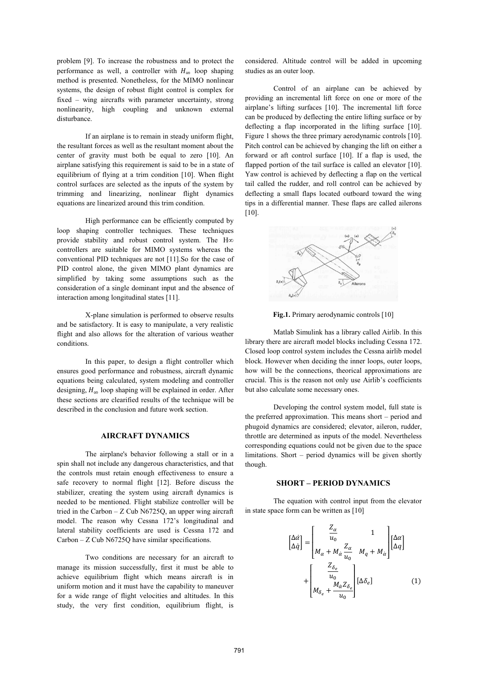problem [9]. To increase the robustness and to protect the performance as well, a controller with  $H_{\infty}$  loop shaping method is presented. Nonetheless, for the MIMO nonlinear systems, the design of robust flight control is complex for fixed – wing aircrafts with parameter uncertainty, strong nonlinearity, high coupling and unknown external disturbance.

If an airplane is to remain in steady uniform flight, the resultant forces as well as the resultant moment about the center of gravity must both be equal to zero [10]. An airplane satisfying this requirement is said to be in a state of equilibrium of flying at a trim condition [10]. When flight control surfaces are selected as the inputs of the system by trimming and linearizing, nonlinear flight dynamics equations are linearized around this trim condition.

High performance can be efficiently computed by loop shaping controller techniques. These techniques provide stability and robust control system. The H controllers are suitable for MIMO systems whereas the conventional PID techniques are not [11].So for the case of PID control alone, the given MIMO plant dynamics are simplified by taking some assumptions such as the consideration of a single dominant input and the absence of interaction among longitudinal states [11].

X-plane simulation is performed to observe results and be satisfactory. It is easy to manipulate, a very realistic flight and also allows for the alteration of various weather conditions.

In this paper, to design a flight controller which ensures good performance and robustness, aircraft dynamic equations being calculated, system modeling and controller designing,  $H_{\infty}$  loop shaping will be explained in order. After these sections are clearified results of the technique will be described in the conclusion and future work section.

## **AIRCRAFT DYNAMICS**

 The airplane's behavior following a stall or in a spin shall not include any dangerous characteristics, and that the controls must retain enough effectiveness to ensure a safe recovery to normal flight [12]. Before discuss the stabilizer, creating the system using aircraft dynamics is needed to be mentioned. Flight stabilize controller will be tried in the Carbon  $- Z$  Cub N6725Q, an upper wing aircraft model. The reason why Cessna 172's longitudinal and lateral stability coefficients are used is Cessna 172 and Carbon – Z Cub N6725Q have similar specifications.

 Two conditions are necessary for an aircraft to manage its mission successfully, first it must be able to achieve equilibrium flight which means aircraft is in uniform motion and it must have the capability to maneuver for a wide range of flight velocities and altitudes. In this study, the very first condition, equilibrium flight, is

considered. Altitude control will be added in upcoming studies as an outer loop.

 Control of an airplane can be achieved by providing an incremental lift force on one or more of the airplane's lifting surfaces [10]. The incremental lift force can be produced by deflecting the entire lifting surface or by deflecting a flap incorporated in the lifting surface [10]. Figure 1 shows the three primary aerodynamic controls [10]. Pitch control can be achieved by changing the lift on either a forward or aft control surface [10]. If a flap is used, the flapped portion of the tail surface is called an elevator [10]. Yaw control is achieved by deflecting a flap on the vertical tail called the rudder, and roll control can be achieved by deflecting a small flaps located outboard toward the wing tips in a differential manner. These flaps are called ailerons [10].



**Fig.1.** Primary aerodynamic controls [10]

 Matlab Simulink has a library called Airlib. In this library there are aircraft model blocks including Cessna 172. Closed loop control system includes the Cessna airlib model block. However when deciding the inner loops, outer loops, how will be the connections, theorical approximations are crucial. This is the reason not only use Airlib's coefficients but also calculate some necessary ones.

 Developing the control system model, full state is the preferred approximation. This means short – period and phugoid dynamics are considered; elevator, aileron, rudder, throttle are determined as inputs of the model. Nevertheless corresponding equations could not be given due to the space limitations. Short – period dynamics will be given shortly though.

#### **SHORT – PERIOD DYNAMICS**

 The equation with control input from the elevator in state space form can be written as [10]

$$
\begin{bmatrix}\n\Delta \dot{\alpha} \\
\Delta \dot{q}\n\end{bmatrix} = \begin{bmatrix}\n\frac{Z_{\alpha}}{u_0} & 1 \\
M_{\alpha} + M_{\dot{\alpha}} \frac{Z_{\alpha}}{u_0} & M_q + M_{\dot{\alpha}}\n\end{bmatrix} \begin{bmatrix}\n\Delta \alpha \\
\Delta q\n\end{bmatrix} + \begin{bmatrix}\n\frac{Z_{\delta_e}}{u_0} & \frac{M_{\dot{\alpha}} Z_{\delta_e}}{u_0} & \frac{M_{\dot{\alpha}} Z_{\delta_e}}{u_0}\n\end{bmatrix} \begin{bmatrix}\n\Delta \delta_e\n\end{bmatrix}
$$
\n(1)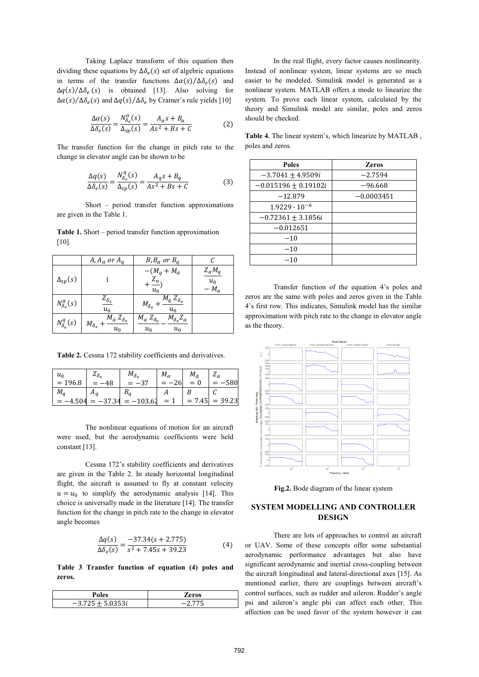Taking Laplace transform of this equation then dividing these equations by  $\Delta \delta_e(s)$  set of algebric equations in terms of the transfer functions  $\Delta \alpha(s)/\Delta \delta_e(s)$  and  $\Delta q(s)/\Delta \delta_e$  (s) is obtained [13]. Also solving for  $\Delta \alpha(s)/\Delta \delta_e(s)$  and  $\Delta q(s)/\Delta \delta_e$  by Cramer's rule yields [10]

$$
\frac{\Delta\alpha(s)}{\Delta\delta_e(s)} = \frac{N_{\delta_e}^{\alpha}(s)}{\Delta_{sp}(s)} = \frac{A_{\alpha}s + B_{\alpha}}{As^2 + Bs + C}
$$
(2)

The transfer function for the change in pitch rate to the change in elevator angle can be shown to be

$$
\frac{\Delta q(s)}{\Delta \delta_e(s)} = \frac{N_{\delta_e}^q(s)}{\Delta_{sp}(s)} = \frac{A_q s + B_q}{As^2 + Bs + C}
$$
(3)

 Short – period transfer function approximations are given in the Table 1.

**Table 1.** Short – period transfer function approximation  $[10]$ .

|                            | $A, A_{\alpha}$ or $A_q$                                                | $B, B_{\alpha}$ or $B_{q}$                                               |                                           |
|----------------------------|-------------------------------------------------------------------------|--------------------------------------------------------------------------|-------------------------------------------|
| $\Delta_{sp}(s)$           |                                                                         | $-(M_q + M_{\dot{\alpha}}$<br>$\frac{Z_{\alpha}}{Z_{\alpha}}$<br>$u_0$   | $Z_{\alpha}M_q$<br>$u_0$<br>$-M_{\alpha}$ |
| $N_{\delta_e}^{\alpha}(s)$ | $Z_{\delta_e}$<br>$u_0$                                                 | $\overline{M}_q Z_{\delta_e}$<br>$M_{\delta_e}$ .<br>$u_0$               |                                           |
| $N^q_{\delta_e}(s)$        | $\overline{M}_{\dot{\alpha}} Z_{\delta_e}$<br>$M_{\delta_e}$ .<br>$u_0$ | $M_{\delta_e} Z_{\alpha}$<br>$M_{\alpha} Z_{\delta_e}$<br>$u_0$<br>$u_0$ |                                           |

Table 2. Cessna 172 stability coefficients and derivatives.

| $u_0$     | $\mathcal{L}_{\delta_e}$ | $M_{\delta_e}$ | $M_{\alpha}$ | $M_{\dot{\alpha}}$ | _α        |
|-----------|--------------------------|----------------|--------------|--------------------|-----------|
| $= 196.8$ |                          | $-37$          | -261         | $= 0$              | 580       |
| $M_q$     |                          |                |              |                    |           |
| $-4.504$  | $-37.34$                 | $=-103.62$     | $=1$         | $= 7.45$           | $= 39.23$ |

The nonlinear equations of motion for an aircraft were used, but the aerodynamic coefficients were held constant [13].

 Cessna 172's stability coefficients and derivatives are given in the Table 2. In steady horizontal longitudinal flight, the aircraft is assumed to fly at constant velocity  $u = u_0$  to simplify the aerodynamic analysis [14]. This choice is universally made in the literature [14]. The transfer function for the change in pitch rate to the change in elevator angle becomes

$$
\frac{\Delta q(s)}{\Delta \delta_e(s)} = \frac{-37.34(s + 2.775)}{s^2 + 7.45s + 39.23}
$$
(4)

**Table 3 Transfer function of equation (4) poles and zeros.** 

|                | Zeros  |
|----------------|--------|
| 0.252          |        |
| $-3.7^{\circ}$ | ______ |

 In the real flight, every factor causes nonlinearity. Instead of nonlinear system, linear systems are so much easier to be modeled. Simulink model is generated as a nonlinear system. MATLAB offers a mode to linearize the system. To prove each linear system, calculated by the theory and Simulink model are similar, poles and zeros should be checked.

**Table 4.** The linear system's, which linearize by MATLAB , poles and zeros.

| <b>Poles</b>             | <b>Zeros</b> |
|--------------------------|--------------|
| $-3.7041 \pm 4.9509i$    | $-2.7594$    |
| $-0.015196 \pm 0.19102i$ | $-96.668$    |
| $-12.879$                | $-0.0003451$ |
| $1.9229 \cdot 10^{-6}$   |              |
| $-0.72361 \pm 3.1856i$   |              |
| $-0.012651$              |              |
| $-10$                    |              |
| $-10$                    |              |
| $-10$                    |              |

 Transfer function of the equation 4's poles and zeros are the same with poles and zeros given in the Table 4's first row. This indicates, Simulink model has the similar approximation with pitch rate to the change in elevator angle as the theory.



**Fig.2.** Bode diagram of the linear system

## **SYSTEM MODELLING AND CONTROLLER DESIGN**

There are lots of approaches to control an aircraft or UAV. Some of these concepts offer some substantial aerodynamic performance advantages but also have significant aerodynamic and inertial cross-coupling between the aircraft longitudinal and lateral-directional axes [15]. As mentioned earlier, there are couplings between aircraft's control surfaces, such as rudder and aileron. Rudder's angle psi and aileron's angle phi can affect each other. This affection can be used favor of the system however it can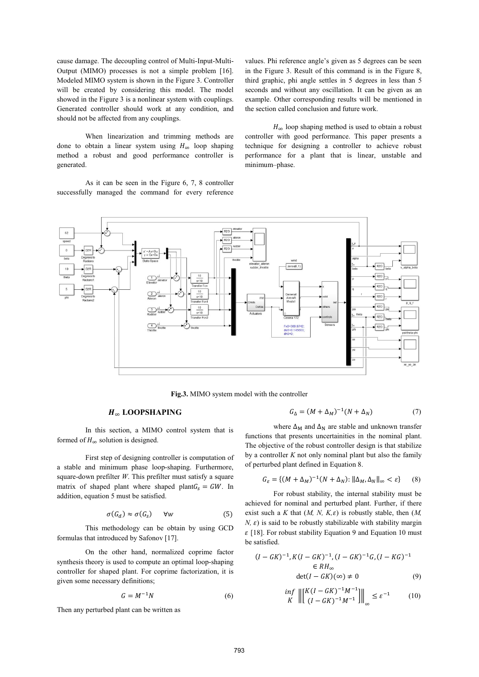cause damage. The decoupling control of Multi-Input-Multi-Output (MIMO) processes is not a simple problem [16]. Modeled MIMO system is shown in the Figure 3. Controller will be created by considering this model. The model showed in the Figure 3 is a nonlinear system with couplings. Generated controller should work at any condition, and should not be affected from any couplings.

When linearization and trimming methods are done to obtain a linear system using  $H_{\infty}$  loop shaping method a robust and good performance controller is generated.

As it can be seen in the Figure 6, 7, 8 controller successfully managed the command for every reference

values. Phi reference angle's given as 5 degrees can be seen in the Figure 3. Result of this command is in the Figure 8, third graphic, phi angle settles in 5 degrees in less than 5 seconds and without any oscillation. It can be given as an example. Other corresponding results will be mentioned in the section called conclusion and future work.

 $H_{\infty}$  loop shaping method is used to obtain a robust controller with good performance. This paper presents a technique for designing a controller to achieve robust performance for a plant that is linear, unstable and minimum–phase.



**Fig.3.** MIMO system model with the controller

## $H_{\infty}$  **LOOPSHAPING**

 $G_{\Lambda} = (M + \Delta_M)^{-1} (N + \Delta_N)$  (7)

In this section, a MIMO control system that is formed of  $H_{\infty}$  solution is designed.

First step of designing controller is computation of a stable and minimum phase loop-shaping. Furthermore, square-down prefilter *W*. This prefilter must satisfy a square matrix of shaped plant where shaped plant $G_s = GW$ . In addition, equation 5 must be satisfied.

$$
\sigma(G_d) \approx \sigma(G_s) \quad \forall w \tag{5}
$$

This methodology can be obtain by using GCD formulas that introduced by Safonov [17].

On the other hand, normalized coprime factor synthesis theory is used to compute an optimal loop-shaping controller for shaped plant. For coprime factorization, it is given some necessary definitions;

$$
G = M^{-1}N \tag{6}
$$

Then any perturbed plant can be written as

where  $\Delta_M$  and  $\Delta_N$  are stable and unknown transfer functions that presents uncertainities in the nominal plant. The objective of the robust controller design is that stabilize by a controller *K* not only nominal plant but also the family of perturbed plant defined in Equation 8.

$$
G_{\varepsilon} = \{ (M + \Delta_M)^{-1} (N + \Delta_N) : ||\Delta_M, \Delta_N||_{\infty} < \varepsilon \} \tag{8}
$$

For robust stability, the internal stability must be achieved for nominal and perturbed plant. Further, if there exist such a *K* that  $(M, N, K, \varepsilon)$  is robustly stable, then  $(M, K, \varepsilon)$  $N$ ,  $\varepsilon$ ) is said to be robustly stabilizable with stability margin  $\epsilon$  [18]. For robust stability Equation 9 and Equation 10 must be satisfied.

$$
(I - GK)^{-1}, K(I - GK)^{-1}, (I - GK)^{-1}G, (I - KG)^{-1}
$$

$$
\in RH_{\infty}
$$

$$
\det(I - GK)(\infty) \neq 0
$$
(9)

$$
\inf_{K} \left\| \begin{bmatrix} K(I - GK)^{-1}M^{-1} \\ (I - GK)^{-1}M^{-1} \end{bmatrix} \right\|_{\infty} \le \varepsilon^{-1} \tag{10}
$$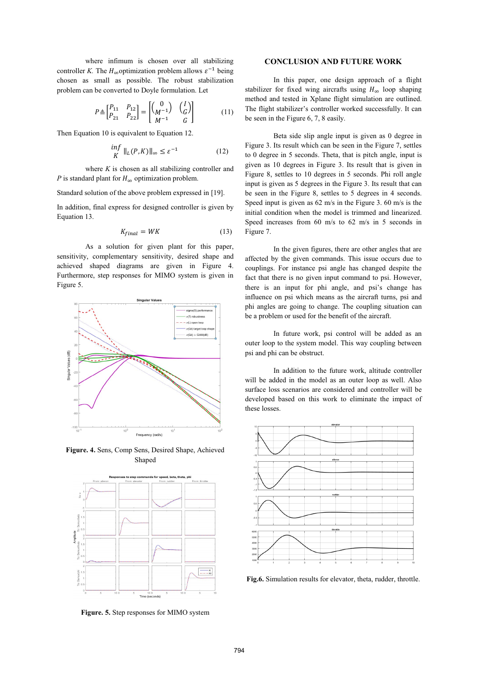where infimum is chosen over all stabilizing controller *K*. The  $H_{\infty}$  optimization problem allows  $\varepsilon^{-1}$  being chosen as small as possible. The robust stabilization problem can be converted to Doyle formulation. Let

$$
P \triangleq \begin{bmatrix} P_{11} & P_{12} \\ P_{21} & P_{22} \end{bmatrix} = \begin{bmatrix} 0 & 1 \\ M^{-1} & 0 \end{bmatrix} \begin{bmatrix} I \\ G \end{bmatrix}
$$
 (11)

Then Equation 10 is equivalent to Equation 12.

$$
\inf_{K} \|\mathbf{L}(P, K)\|_{\infty} \le \varepsilon^{-1} \tag{12}
$$

where *K* is chosen as all stabilizing controller and *P* is standard plant for  $H_{\infty}$  optimization problem.

Standard solution of the above problem expressed in [19].

In addition, final express for designed controller is given by Equation 13.

$$
K_{final} = WK \tag{13}
$$

As a solution for given plant for this paper, sensitivity, complementary sensitivity, desired shape and achieved shaped diagrams are given in Figure 4. Furthermore, step responses for MIMO system is given in Figure 5.



**Figure. 4.** Sens, Comp Sens, Desired Shape, Achieved Shaped



**Figure. 5.** Step responses for MIMO system

#### **CONCLUSION AND FUTURE WORK**

 In this paper, one design approach of a flight stabilizer for fixed wing aircrafts using  $H_{\infty}$  loop shaping method and tested in Xplane flight simulation are outlined. The flight stabilizer's controller worked successfully. It can be seen in the Figure 6, 7, 8 easily.

Beta side slip angle input is given as 0 degree in Figure 3. Its result which can be seen in the Figure 7, settles to 0 degree in 5 seconds. Theta, that is pitch angle, input is given as 10 degrees in Figure 3. Its result that is given in Figure 8, settles to 10 degrees in 5 seconds. Phi roll angle input is given as 5 degrees in the Figure 3. Its result that can be seen in the Figure 8, settles to 5 degrees in 4 seconds. Speed input is given as 62 m/s in the Figure 3. 60 m/s is the initial condition when the model is trimmed and linearized. Speed increases from 60 m/s to 62 m/s in 5 seconds in Figure 7.

In the given figures, there are other angles that are affected by the given commands. This issue occurs due to couplings. For instance psi angle has changed despite the fact that there is no given input command to psi. However, there is an input for phi angle, and psi's change has influence on psi which means as the aircraft turns, psi and phi angles are going to change. The coupling situation can be a problem or used for the benefit of the aircraft.

In future work, psi control will be added as an outer loop to the system model. This way coupling between psi and phi can be obstruct.

In addition to the future work, altitude controller will be added in the model as an outer loop as well. Also surface loss scenarios are considered and controller will be developed based on this work to eliminate the impact of these losses.



**Fig.6.** Simulation results for elevator, theta, rudder, throttle.